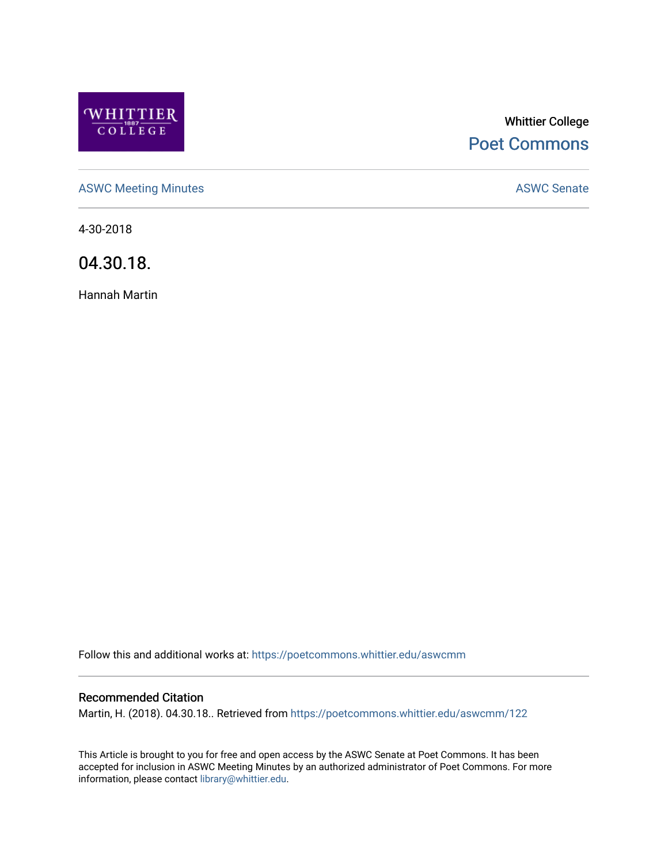

# Whittier College [Poet Commons](https://poetcommons.whittier.edu/)

[ASWC Meeting Minutes](https://poetcommons.whittier.edu/aswcmm) **ASWC Senate** 

4-30-2018

04.30.18.

Hannah Martin

Follow this and additional works at: [https://poetcommons.whittier.edu/aswcmm](https://poetcommons.whittier.edu/aswcmm?utm_source=poetcommons.whittier.edu%2Faswcmm%2F122&utm_medium=PDF&utm_campaign=PDFCoverPages)

#### Recommended Citation

Martin, H. (2018). 04.30.18.. Retrieved from [https://poetcommons.whittier.edu/aswcmm/122](https://poetcommons.whittier.edu/aswcmm/122?utm_source=poetcommons.whittier.edu%2Faswcmm%2F122&utm_medium=PDF&utm_campaign=PDFCoverPages) 

This Article is brought to you for free and open access by the ASWC Senate at Poet Commons. It has been accepted for inclusion in ASWC Meeting Minutes by an authorized administrator of Poet Commons. For more information, please contact [library@whittier.edu.](mailto:library@whittier.edu)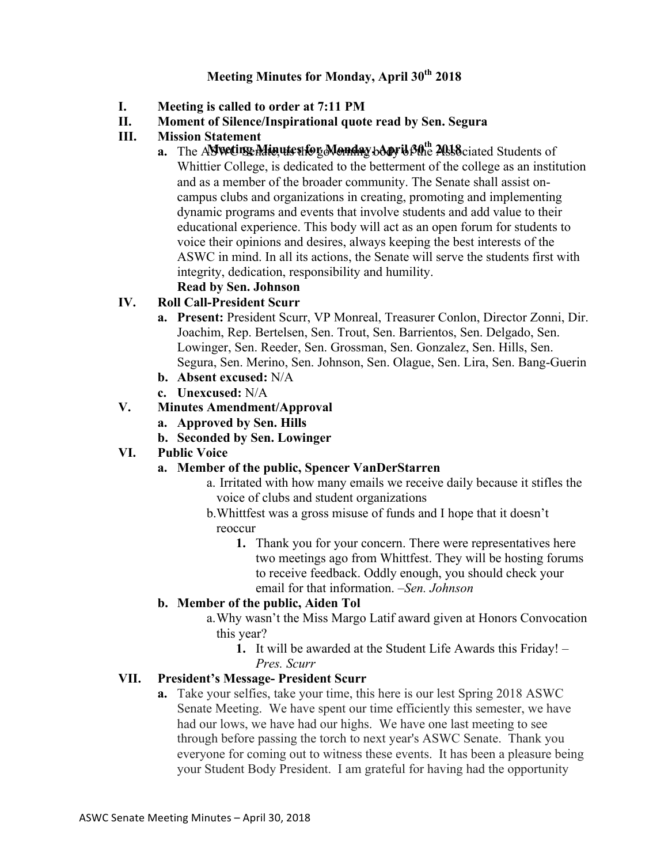### **Meeting Minutes for Monday, April 30th 2018**

- **I. Meeting is called to order at 7:11 PM**
- **II. Moment of Silence/Inspirational quote read by Sen. Segura**
- **III. Mission Statement** 
	- a. The ASWeting Minutes for Monday body is  $\mathcal{B}^{th}$  Associated Students of Whittier College, is dedicated to the betterment of the college as an institution and as a member of the broader community. The Senate shall assist oncampus clubs and organizations in creating, promoting and implementing dynamic programs and events that involve students and add value to their educational experience. This body will act as an open forum for students to voice their opinions and desires, always keeping the best interests of the ASWC in mind. In all its actions, the Senate will serve the students first with integrity, dedication, responsibility and humility.

#### **Read by Sen. Johnson IV. Roll Call-President Scurr**

- **a. Present:** President Scurr, VP Monreal, Treasurer Conlon, Director Zonni, Dir. Joachim, Rep. Bertelsen, Sen. Trout, Sen. Barrientos, Sen. Delgado, Sen. Lowinger, Sen. Reeder, Sen. Grossman, Sen. Gonzalez, Sen. Hills, Sen. Segura, Sen. Merino, Sen. Johnson, Sen. Olague, Sen. Lira, Sen. Bang-Guerin
- **b. Absent excused:** N/A
- **c. Unexcused:** N/A

### **V. Minutes Amendment/Approval**

- **a. Approved by Sen. Hills**
- **b. Seconded by Sen. Lowinger**

#### **VI. Public Voice**

#### **a. Member of the public, Spencer VanDerStarren**

- a. Irritated with how many emails we receive daily because it stifles the voice of clubs and student organizations
- b.Whittfest was a gross misuse of funds and I hope that it doesn't reoccur
	- **1.** Thank you for your concern. There were representatives here two meetings ago from Whittfest. They will be hosting forums to receive feedback. Oddly enough, you should check your email for that information. –*Sen. Johnson*

#### **b. Member of the public, Aiden Tol**

- a.Why wasn't the Miss Margo Latif award given at Honors Convocation this year?
	- **1.** It will be awarded at the Student Life Awards this Friday! *Pres. Scurr*

#### **VII. President's Message- President Scurr**

**a.** Take your selfies, take your time, this here is our lest Spring 2018 ASWC Senate Meeting. We have spent our time efficiently this semester, we have had our lows, we have had our highs. We have one last meeting to see through before passing the torch to next year's ASWC Senate. Thank you everyone for coming out to witness these events. It has been a pleasure being your Student Body President. I am grateful for having had the opportunity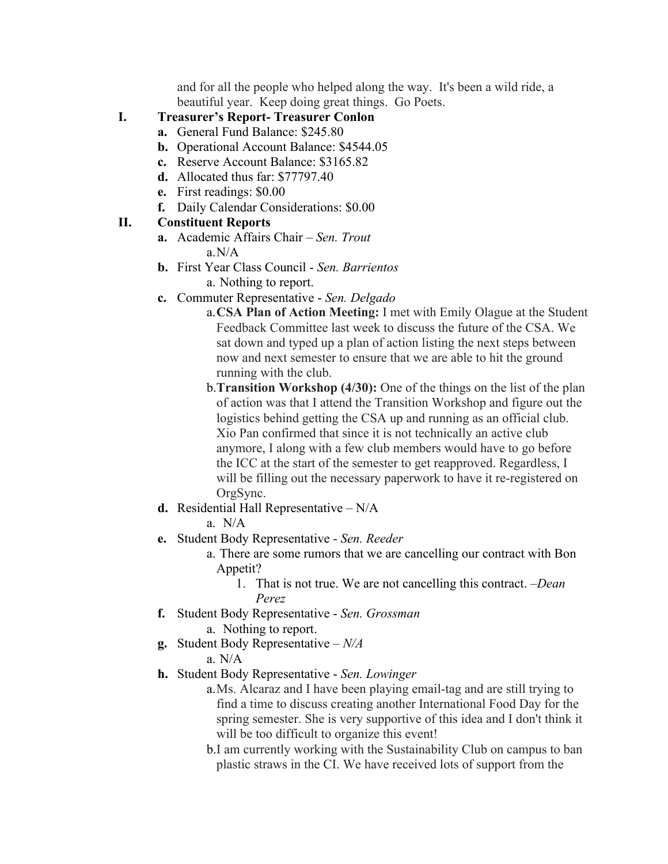and for all the people who helped along the way. It's been a wild ride, a beautiful year. Keep doing great things. Go Poets.

- **I. Treasurer's Report- Treasurer Conlon**
	- **a.** General Fund Balance: \$245.80
	- **b.** Operational Account Balance: \$4544.05
	- **c.** Reserve Account Balance: \$3165.82
	- **d.** Allocated thus far: \$77797.40
	- **e.** First readings: \$0.00
	- **f.** Daily Calendar Considerations: \$0.00

### **II. Constituent Reports**

- **a.** Academic Affairs Chair *Sen. Trout* a.N/A
- **b.** First Year Class Council *Sen. Barrientos* a. Nothing to report.
- **c.** Commuter Representative *Sen. Delgado*
	- a.**CSA Plan of Action Meeting:** I met with Emily Olague at the Student Feedback Committee last week to discuss the future of the CSA. We sat down and typed up a plan of action listing the next steps between now and next semester to ensure that we are able to hit the ground running with the club.
	- b.**Transition Workshop (4/30):** One of the things on the list of the plan of action was that I attend the Transition Workshop and figure out the logistics behind getting the CSA up and running as an official club. Xio Pan confirmed that since it is not technically an active club anymore, I along with a few club members would have to go before the ICC at the start of the semester to get reapproved. Regardless, I will be filling out the necessary paperwork to have it re-registered on OrgSync.
- **d.** Residential Hall Representative N/A

a.N/A

- **e.** Student Body Representative *Sen. Reeder*
	- a. There are some rumors that we are cancelling our contract with Bon Appetit?
		- 1. That is not true. We are not cancelling this contract. –*Dean Perez*
- **f.** Student Body Representative *Sen. Grossman* a. Nothing to report.
- **g.** Student Body Representative *N/A*

a. N/A

- **h.** Student Body Representative *Sen. Lowinger*
	- a.Ms. Alcaraz and I have been playing email-tag and are still trying to find a time to discuss creating another International Food Day for the spring semester. She is very supportive of this idea and I don't think it will be too difficult to organize this event!
	- b.I am currently working with the Sustainability Club on campus to ban plastic straws in the CI. We have received lots of support from the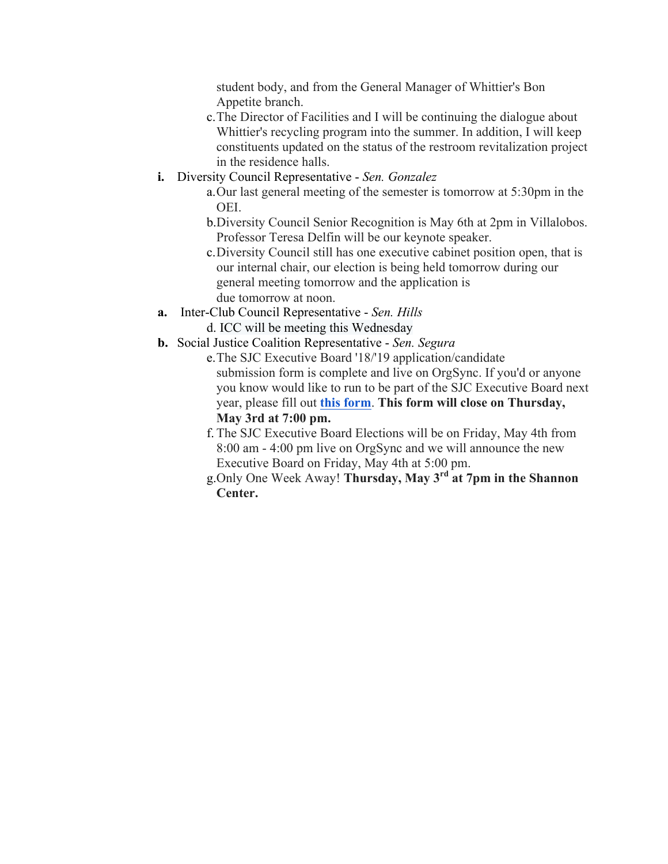student body, and from the General Manager of Whittier's Bon Appetite branch.

- c.The Director of Facilities and I will be continuing the dialogue about Whittier's recycling program into the summer. In addition, I will keep constituents updated on the status of the restroom revitalization project in the residence halls.
- **i.** Diversity Council Representative *Sen. Gonzalez*
	- a.Our last general meeting of the semester is tomorrow at 5:30pm in the OEI.
	- b.Diversity Council Senior Recognition is May 6th at 2pm in Villalobos. Professor Teresa Delfin will be our keynote speaker.
	- c.Diversity Council still has one executive cabinet position open, that is our internal chair, our election is being held tomorrow during our general meeting tomorrow and the application is due tomorrow at noon.
- **a.** Inter-Club Council Representative *Sen. Hills*
	- d. ICC will be meeting this Wednesday
- **b.** Social Justice Coalition Representative *Sen. Segura*
	- e.The SJC Executive Board '18/'19 application/candidate submission form is complete and live on OrgSync. If you'd or anyone you know would like to run to be part of the SJC Executive Board next year, please fill out **this form**. **This form will close on Thursday, May 3rd at 7:00 pm.**
	- f. The SJC Executive Board Elections will be on Friday, May 4th from 8:00 am - 4:00 pm live on OrgSync and we will announce the new Executive Board on Friday, May 4th at 5:00 pm.
	- g.Only One Week Away! **Thursday, May 3rd at 7pm in the Shannon Center.**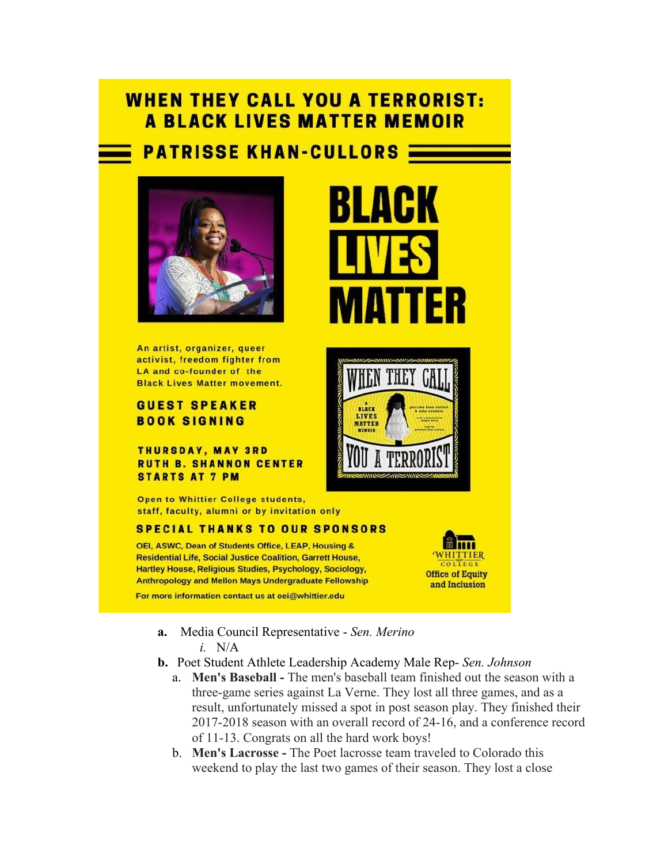# **WHEN THEY CALL YOU A TERRORIST: A BLACK LIVES MATTER MEMOIR**

# **PATRISSE KHAN-CULLORS:**



An artist, organizer, queer activist, freedom fighter from LA and co-founder of the **Black Lives Matter movement.** 

#### **GUEST SPEAKER BOOK SIGNING**

**THURSDAY, MAY 3RD RUTH B. SHANNON CENTER STARTS AT 7 PM** 

Open to Whittier College students, staff, faculty, alumni or by invitation only

#### **SPECIAL THANKS TO OUR SPONSORS**

OEI, ASWC, Dean of Students Office, LEAP, Housing & **Residential Life, Social Justice Coalition, Garrett House,** Hartley House, Religious Studies, Psychology, Sociology, **Anthropology and Mellon Mays Undergraduate Fellowship** 

For more information contact us at oei@whittier.edu

- **a.** Media Council Representative *Sen. Merino i.* N/A
- **b.** Poet Student Athlete Leadership Academy Male Rep- *Sen. Johnson*
	- a. **Men's Baseball -** The men's baseball team finished out the season with a three-game series against La Verne. They lost all three games, and as a result, unfortunately missed a spot in post season play. They finished their 2017-2018 season with an overall record of 24-16, and a conference record of 11-13. Congrats on all the hard work boys!
	- b. **Men's Lacrosse -** The Poet lacrosse team traveled to Colorado this weekend to play the last two games of their season. They lost a close





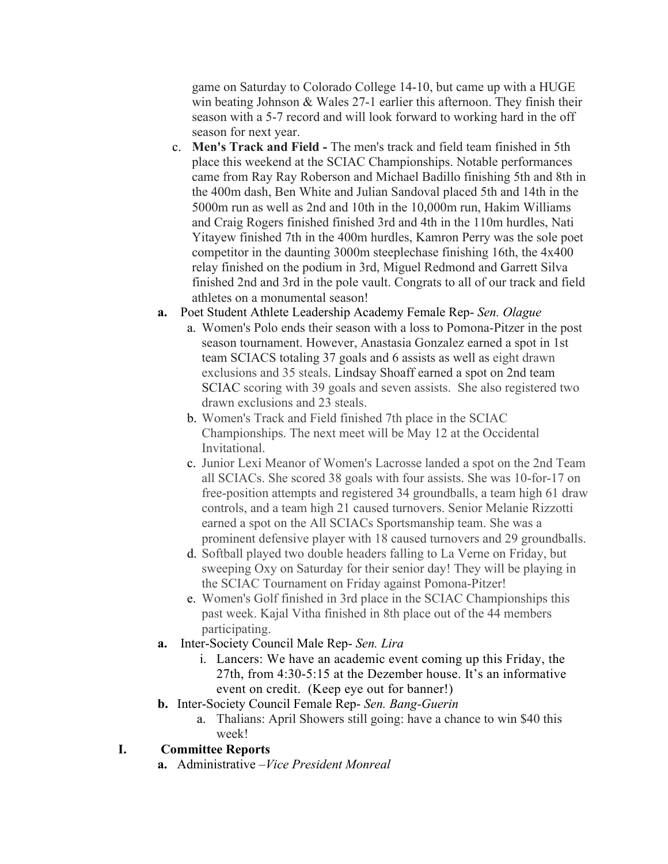game on Saturday to Colorado College 14-10, but came up with a HUGE win beating Johnson & Wales 27-1 earlier this afternoon. They finish their season with a 5-7 record and will look forward to working hard in the off season for next year.

- c. **Men's Track and Field -** The men's track and field team finished in 5th place this weekend at the SCIAC Championships. Notable performances came from Ray Ray Roberson and Michael Badillo finishing 5th and 8th in the 400m dash, Ben White and Julian Sandoval placed 5th and 14th in the 5000m run as well as 2nd and 10th in the 10,000m run, Hakim Williams and Craig Rogers finished finished 3rd and 4th in the 110m hurdles, Nati Yitayew finished 7th in the 400m hurdles, Kamron Perry was the sole poet competitor in the daunting 3000m steeplechase finishing 16th, the 4x400 relay finished on the podium in 3rd, Miguel Redmond and Garrett Silva finished 2nd and 3rd in the pole vault. Congrats to all of our track and field athletes on a monumental season!
- **a.** Poet Student Athlete Leadership Academy Female Rep- *Sen. Olague*
	- a. Women's Polo ends their season with a loss to Pomona-Pitzer in the post season tournament. However, Anastasia Gonzalez earned a spot in 1st team SCIACS totaling 37 goals and 6 assists as well as eight drawn exclusions and 35 steals. Lindsay Shoaff earned a spot on 2nd team SCIAC scoring with 39 goals and seven assists. She also registered two drawn exclusions and 23 steals.
	- b. Women's Track and Field finished 7th place in the SCIAC Championships. The next meet will be May 12 at the Occidental Invitational.
	- c. Junior Lexi Meanor of Women's Lacrosse landed a spot on the 2nd Team all SCIACs. She scored 38 goals with four assists. She was 10-for-17 on free-position attempts and registered 34 groundballs, a team high 61 draw controls, and a team high 21 caused turnovers. Senior Melanie Rizzotti earned a spot on the All SCIACs Sportsmanship team. She was a prominent defensive player with 18 caused turnovers and 29 groundballs.
	- d. Softball played two double headers falling to La Verne on Friday, but sweeping Oxy on Saturday for their senior day! They will be playing in the SCIAC Tournament on Friday against Pomona-Pitzer!
	- e. Women's Golf finished in 3rd place in the SCIAC Championships this past week. Kajal Vitha finished in 8th place out of the 44 members participating.
- **a.** Inter-Society Council Male Rep- *Sen. Lira*
	- i. Lancers: We have an academic event coming up this Friday, the 27th, from 4:30-5:15 at the Dezember house. It's an informative event on credit. (Keep eye out for banner!)
- **b.** Inter-Society Council Female Rep- *Sen. Bang-Guerin*
	- a. Thalians: April Showers still going: have a chance to win \$40 this week!

## **I. Committee Reports**

**a.** Administrative –*Vice President Monreal*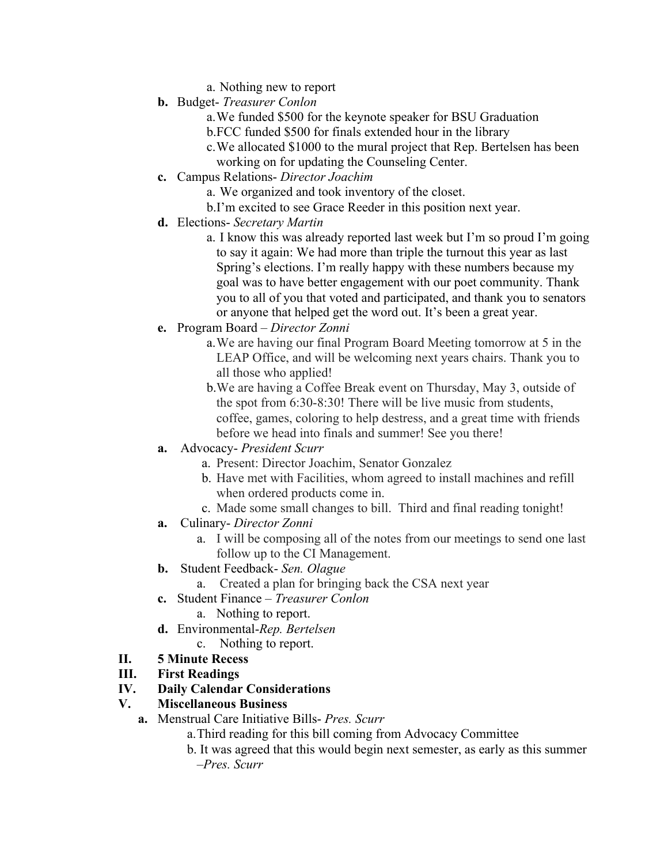- a. Nothing new to report
- **b.** Budget- *Treasurer Conlon*
	- a.We funded \$500 for the keynote speaker for BSU Graduation
	- b.FCC funded \$500 for finals extended hour in the library
	- c.We allocated \$1000 to the mural project that Rep. Bertelsen has been
	- working on for updating the Counseling Center.
- **c.** Campus Relations- *Director Joachim*
	- a. We organized and took inventory of the closet.
	- b.I'm excited to see Grace Reeder in this position next year.
- **d.** Elections- *Secretary Martin*
	- a. I know this was already reported last week but I'm so proud I'm going to say it again: We had more than triple the turnout this year as last Spring's elections. I'm really happy with these numbers because my goal was to have better engagement with our poet community. Thank you to all of you that voted and participated, and thank you to senators or anyone that helped get the word out. It's been a great year.
- **e.** Program Board *Director Zonni*
	- a.We are having our final Program Board Meeting tomorrow at 5 in the LEAP Office, and will be welcoming next years chairs. Thank you to all those who applied!
	- b.We are having a Coffee Break event on Thursday, May 3, outside of the spot from 6:30-8:30! There will be live music from students, coffee, games, coloring to help destress, and a great time with friends before we head into finals and summer! See you there!
- **a.** Advocacy- *President Scurr*
	- a. Present: Director Joachim, Senator Gonzalez
	- b. Have met with Facilities, whom agreed to install machines and refill when ordered products come in.
	- c. Made some small changes to bill. Third and final reading tonight!
- **a.** Culinary- *Director Zonni*
	- a. I will be composing all of the notes from our meetings to send one last follow up to the CI Management.
- **b.** Student Feedback- *Sen. Olague* 
	- a. Created a plan for bringing back the CSA next year
- **c.** Student Finance *Treasurer Conlon*
	- a. Nothing to report.
- **d.** Environmental-*Rep. Bertelsen*
	- c. Nothing to report.
- **II. 5 Minute Recess**
- **III. First Readings**
- **IV. Daily Calendar Considerations**
- **V. Miscellaneous Business**
	- **a.** Menstrual Care Initiative Bills- *Pres. Scurr*
		- a.Third reading for this bill coming from Advocacy Committee
		- b. It was agreed that this would begin next semester, as early as this summer –*Pres. Scurr*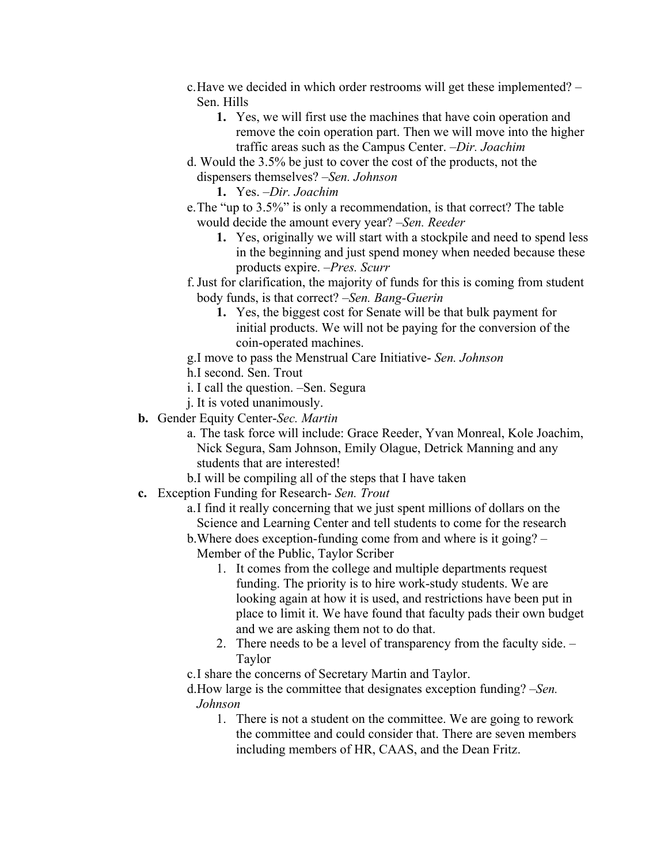- c.Have we decided in which order restrooms will get these implemented? Sen. Hills
	- **1.** Yes, we will first use the machines that have coin operation and remove the coin operation part. Then we will move into the higher traffic areas such as the Campus Center. –*Dir. Joachim*
- d. Would the 3.5% be just to cover the cost of the products, not the dispensers themselves? –*Sen. Johnson*

**1.** Yes. –*Dir. Joachim*

- e.The "up to 3.5%" is only a recommendation, is that correct? The table would decide the amount every year? –*Sen. Reeder*
	- **1.** Yes, originally we will start with a stockpile and need to spend less in the beginning and just spend money when needed because these products expire. –*Pres. Scurr*
- f.Just for clarification, the majority of funds for this is coming from student body funds, is that correct? –*Sen. Bang-Guerin*
	- **1.** Yes, the biggest cost for Senate will be that bulk payment for initial products. We will not be paying for the conversion of the coin-operated machines.
- g.I move to pass the Menstrual Care Initiative- *Sen. Johnson*
- h.I second. Sen. Trout
- i. I call the question. –Sen. Segura
- j. It is voted unanimously.
- **b.** Gender Equity Center-*Sec. Martin*
	- a. The task force will include: Grace Reeder, Yvan Monreal, Kole Joachim, Nick Segura, Sam Johnson, Emily Olague, Detrick Manning and any students that are interested!
	- b.I will be compiling all of the steps that I have taken
- **c.** Exception Funding for Research- *Sen. Trout*
	- a.I find it really concerning that we just spent millions of dollars on the Science and Learning Center and tell students to come for the research
	- b.Where does exception-funding come from and where is it going? Member of the Public, Taylor Scriber
		- 1. It comes from the college and multiple departments request funding. The priority is to hire work-study students. We are looking again at how it is used, and restrictions have been put in place to limit it. We have found that faculty pads their own budget and we are asking them not to do that.
		- 2. There needs to be a level of transparency from the faculty side. Taylor

c.I share the concerns of Secretary Martin and Taylor.

d.How large is the committee that designates exception funding? –*Sen. Johnson*

1. There is not a student on the committee. We are going to rework the committee and could consider that. There are seven members including members of HR, CAAS, and the Dean Fritz.